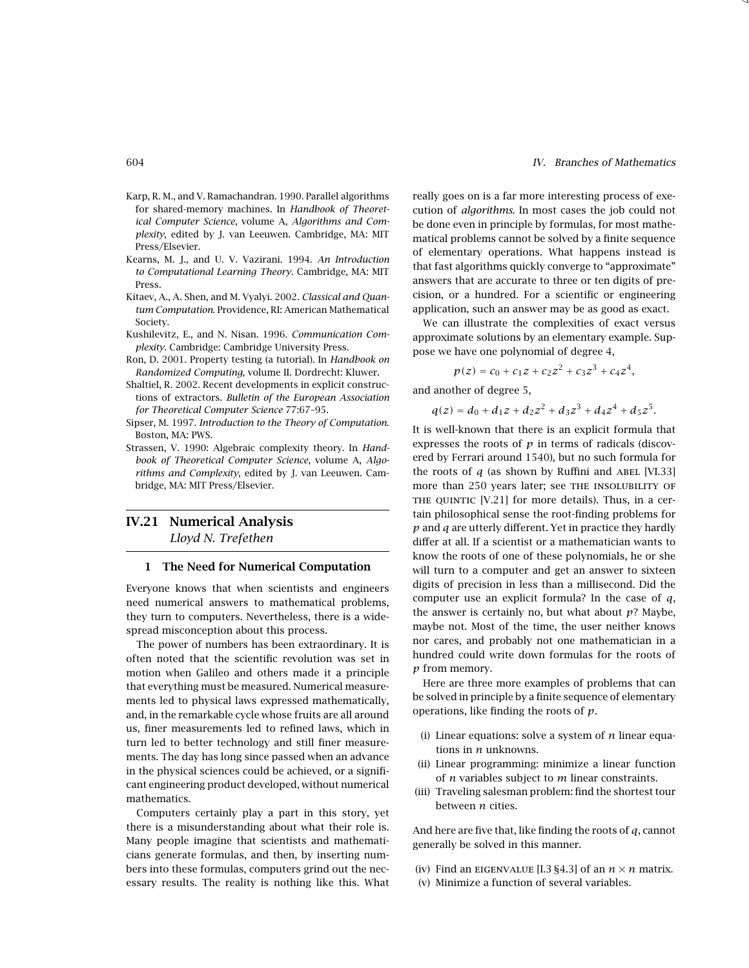#### 604 *IV. Branches of Mathematics*

L,

- Karp, R. M., and V. Ramachandran. 1990. Parallel algorithms for shared-memory machines. In *Handbook of Theoretical Computer Science*, volume A, *Algorithms and Complexity*, edited by J. van Leeuwen. Cambridge, MA: MIT Press/Elsevier.
- Kearns, M. J., and U. V. Vazirani. 1994. *An Introduction to Computational Learning Theory*. Cambridge, MA: MIT Press.
- Kitaev, A., A. Shen, and M. Vyalyi. 2002. *Classical and Quantum Computation*. Providence, RI: American Mathematical Society.
- Kushilevitz, E., and N. Nisan. 1996. *Communication Complexity*. Cambridge: Cambridge University Press.
- Ron, D. 2001. Property testing (a tutorial). In *Handbook on Randomized Computing*, volume II. Dordrecht: Kluwer.
- Shaltiel, R. 2002. Recent developments in explicit constructions of extractors. *Bulletin of the European Association for Theoretical Computer Science* 77:67–95.
- Sipser, M. 1997. *Introduction to the Theory of Computation*. Boston, MA: PWS.
- Strassen, V. 1990: Algebraic complexity theory. In *Handbook of Theoretical Computer Science*, volume A, *Algorithms and Complexity*, edited by J. van Leeuwen. Cambridge, MA: MIT Press/Elsevier.

# **IV.21 Numerical Analysis** *Lloyd N. Trefethen*

#### **1 The Need for Numerical Computation**

Everyone knows that when scientists and engineers need numerical answers to mathematical problems, they turn to computers. Nevertheless, there is a widespread misconception about this process.

The power of numbers has been extraordinary. It is often noted that the scientific revolution was set in motion when Galileo and others made it a principle that everything must be measured. Numerical measurements led to physical laws expressed mathematically, and, in the remarkable cycle whose fruits are all around us, finer measurements led to refined laws, which in turn led to better technology and still finer measurements. The day has long since passed when an advance in the physical sciences could be achieved, or a significant engineering product developed, without numerical mathematics.

Computers certainly play a part in this story, yet there is a misunderstanding about what their role is. Many people imagine that scientists and mathematicians generate formulas, and then, by inserting numbers into these formulas, computers grind out the necessary results. The reality is nothing like this. What really goes on is a far more interesting process of execution of *algorithms*. In most cases the job could not be done even in principle by formulas, for most mathematical problems cannot be solved by a finite sequence of elementary operations. What happens instead is that fast algorithms quickly converge to "approximate" answers that are accurate to three or ten digits of precision, or a hundred. For a scientific or engineering application, such an answer may be as good as exact.

We can illustrate the complexities of exact versus approximate solutions by an elementary example. Suppose we have one polynomial of degree 4,

$$
p(z) = c_0 + c_1 z + c_2 z^2 + c_3 z^3 + c_4 z^4,
$$

and another of degree 5,

$$
q(z) = d_0 + d_1 z + d_2 z^2 + d_3 z^3 + d_4 z^4 + d_5 z^5.
$$

It is well-known that there is an explicit formula that expresses the roots of  $p$  in terms of radicals (discovered by Ferrari around 1540), but no such formula for the roots of  $q$  (as shown by Ruffini and ABEL [VI.33] more than 250 years later; see THE INSOLUBILITY OF THE QUINTIC [V.21] for more details). Thus, in a certain philosophical sense the root-finding problems for *p* and *q* are utterly different. Yet in practice they hardly differ at all. If a scientist or a mathematician wants to know the roots of one of these polynomials, he or she will turn to a computer and get an answer to sixteen digits of precision in less than a millisecond. Did the computer use an explicit formula? In the case of *q*, the answer is certainly no, but what about  $p$ ? Maybe, maybe not. Most of the time, the user neither knows nor cares, and probably not one mathematician in a hundred could write down formulas for the roots of *p* from memory.

Here are three more examples of problems that can be solved in principle by a finite sequence of elementary operations, like finding the roots of *p*.

- (i) Linear equations: solve a system of *n* linear equations in *n* unknowns.
- (ii) Linear programming: minimize a linear function of *n* variables subject to *m* linear constraints.
- (iii) Traveling salesman problem: find the shortest tour between *n* cities.

And here are five that, like finding the roots of *q*, cannot generally be solved in this manner.

- (iv) Find an EIGENVALUE [I.3 §4.3] of an  $n \times n$  matrix.
- (v) Minimize a function of several variables.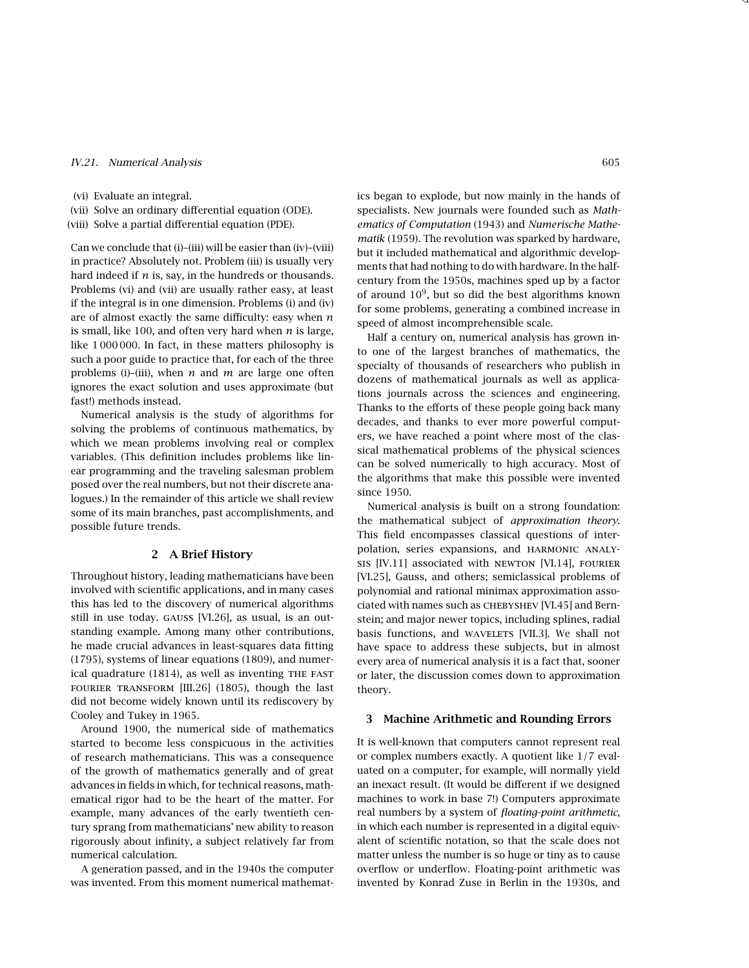(vi) Evaluate an integral.

(vii) Solve an ordinary differential equation (ODE).

(viii) Solve a partial differential equation (PDE).

Can we conclude that (i)–(iii) will be easier than (iv)–(viii) in practice? Absolutely not. Problem (iii) is usually very hard indeed if *n* is, say, in the hundreds or thousands. Problems (vi) and (vii) are usually rather easy, at least if the integral is in one dimension. Problems (i) and (iv) are of almost exactly the same difficulty: easy when *n* is small, like 100, and often very hard when *n* is large, like 1 000 000. In fact, in these matters philosophy is such a poor guide to practice that, for each of the three problems (i)–(iii), when *n* and *m* are large one often ignores the exact solution and uses approximate (but fast!) methods instead.

Numerical analysis is the study of algorithms for solving the problems of continuous mathematics, by which we mean problems involving real or complex variables. (This definition includes problems like linear programming and the traveling salesman problem posed over the real numbers, but not their discrete analogues.) In the remainder of this article we shall review some of its main branches, past accomplishments, and possible future trends.

#### **2 A Brief History**

Throughout history, leading mathematicians have been involved with scientific applications, and in many cases this has led to the discovery of numerical algorithms still in use today. gauss [VI.26], as usual, is an outstanding example. Among many other contributions, he made crucial advances in least-squares data fitting (1795), systems of linear equations (1809), and numerical quadrature (1814), as well as inventing the fast fourier transform [III.26] (1805), though the last did not become widely known until its rediscovery by Cooley and Tukey in 1965.

Around 1900, the numerical side of mathematics started to become less conspicuous in the activities of research mathematicians. This was a consequence of the growth of mathematics generally and of great advances in fields in which, for technical reasons, mathematical rigor had to be the heart of the matter. For example, many advances of the early twentieth century sprang from mathematicians' new ability to reason rigorously about infinity, a subject relatively far from numerical calculation.

A generation passed, and in the 1940s the computer was invented. From this moment numerical mathematics began to explode, but now mainly in the hands of specialists. New journals were founded such as *Mathematics of Computation* (1943) and *Numerische Mathematik* (1959). The revolution was sparked by hardware, but it included mathematical and algorithmic developments that had nothing to do with hardware. In the halfcentury from the 1950s, machines sped up by a factor of around  $10^9$ , but so did the best algorithms known for some problems, generating a combined increase in speed of almost incomprehensible scale.

Half a century on, numerical analysis has grown into one of the largest branches of mathematics, the specialty of thousands of researchers who publish in dozens of mathematical journals as well as applications journals across the sciences and engineering. Thanks to the efforts of these people going back many decades, and thanks to ever more powerful computers, we have reached a point where most of the classical mathematical problems of the physical sciences can be solved numerically to high accuracy. Most of the algorithms that make this possible were invented since 1950.

Numerical analysis is built on a strong foundation: the mathematical subject of *approximation theory*. This field encompasses classical questions of interpolation, series expansions, and harmonic analysis [IV.11] associated with newton [VI.14], fourier [VI.25], Gauss, and others; semiclassical problems of polynomial and rational minimax approximation associated with names such as chebyshev [VI.45] and Bernstein; and major newer topics, including splines, radial basis functions, and WAVELETS [VII.3]. We shall not have space to address these subjects, but in almost every area of numerical analysis it is a fact that, sooner or later, the discussion comes down to approximation theory.

#### **3 Machine Arithmetic and Rounding Errors**

It is well-known that computers cannot represent real or complex numbers exactly. A quotient like 1*/*7 evaluated on a computer, for example, will normally yield an inexact result. (It would be different if we designed machines to work in base 7!) Computers approximate real numbers by a system of *floating-point arithmetic*, in which each number is represented in a digital equivalent of scientific notation, so that the scale does not matter unless the number is so huge or tiny as to cause overflow or underflow. Floating-point arithmetic was invented by Konrad Zuse in Berlin in the 1930s, and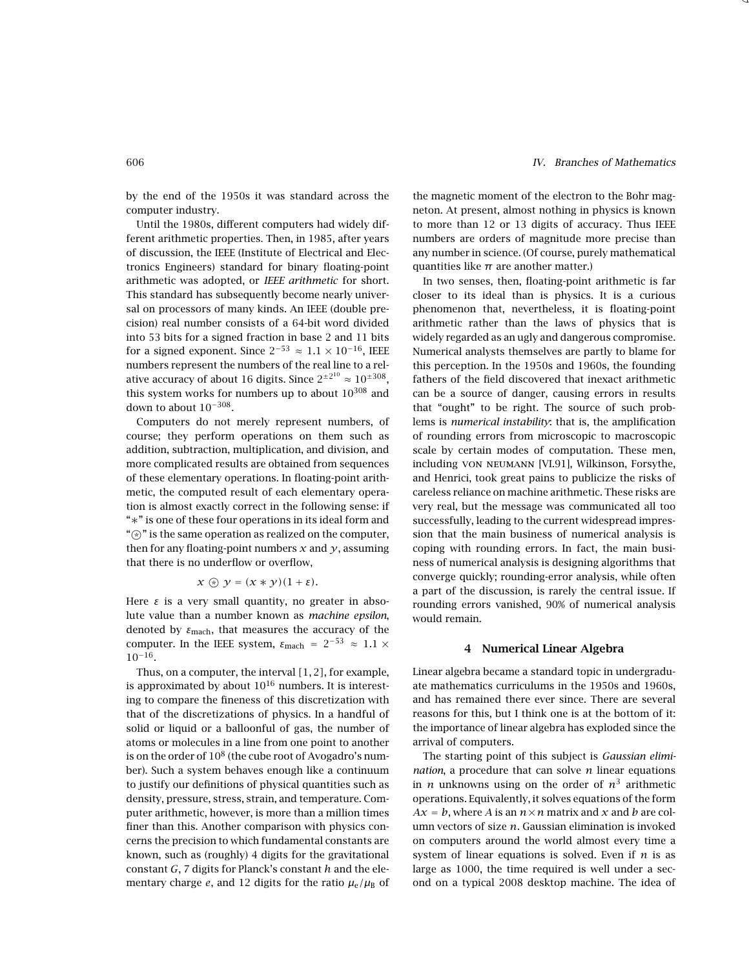L,

by the end of the 1950s it was standard across the computer industry.

Until the 1980s, different computers had widely different arithmetic properties. Then, in 1985, after years of discussion, the IEEE (Institute of Electrical and Electronics Engineers) standard for binary floating-point arithmetic was adopted, or *IEEE arithmetic* for short. This standard has subsequently become nearly universal on processors of many kinds. An IEEE (double precision) real number consists of a 64-bit word divided into 53 bits for a signed fraction in base 2 and 11 bits for a signed exponent. Since  $2^{-53} \approx 1.1 \times 10^{-16}$ , IEEE numbers represent the numbers of the real line to a relative accuracy of about 16 digits. Since  $2^{\pm 2^{10}} \approx 10^{\pm 308},$ this system works for numbers up to about  $10^{308}$  and down to about 10<sup>−</sup>308.

Computers do not merely represent numbers, of course; they perform operations on them such as addition, subtraction, multiplication, and division, and more complicated results are obtained from sequences of these elementary operations. In floating-point arithmetic, the computed result of each elementary operation is almost exactly correct in the following sense: if "∗" is one of these four operations in its ideal form and " $(*)$ " is the same operation as realized on the computer, then for any floating-point numbers  $x$  and  $y$ , assuming that there is no underflow or overflow,

$$
x \circledast y = (x * y)(1 + \varepsilon).
$$

Here *ε* is a very small quantity, no greater in absolute value than a number known as *machine epsilon*, denoted by *ε*mach, that measures the accuracy of the computer. In the IEEE system,  $\varepsilon_{\text{mach}} = 2^{-53} \approx 1.1 \times$  $10^{-16}$ .

Thus, on a computer, the interval *[*1*,* 2*]*, for example, is approximated by about  $10^{16}$  numbers. It is interesting to compare the fineness of this discretization with that of the discretizations of physics. In a handful of solid or liquid or a balloonful of gas, the number of atoms or molecules in a line from one point to another is on the order of  $10^8$  (the cube root of Avogadro's number). Such a system behaves enough like a continuum to justify our definitions of physical quantities such as density, pressure, stress, strain, and temperature. Computer arithmetic, however, is more than a million times finer than this. Another comparison with physics concerns the precision to which fundamental constants are known, such as (roughly) 4 digits for the gravitational constant *G*, 7 digits for Planck's constant *h* and the elementary charge *e*, and 12 digits for the ratio  $\mu_{e}/\mu_{B}$  of the magnetic moment of the electron to the Bohr magneton. At present, almost nothing in physics is known to more than 12 or 13 digits of accuracy. Thus IEEE numbers are orders of magnitude more precise than any number in science. (Of course, purely mathematical quantities like  $\pi$  are another matter.)

In two senses, then, floating-point arithmetic is far closer to its ideal than is physics. It is a curious phenomenon that, nevertheless, it is floating-point arithmetic rather than the laws of physics that is widely regarded as an ugly and dangerous compromise. Numerical analysts themselves are partly to blame for this perception. In the 1950s and 1960s, the founding fathers of the field discovered that inexact arithmetic can be a source of danger, causing errors in results that "ought" to be right. The source of such problems is *numerical instability*: that is, the amplification of rounding errors from microscopic to macroscopic scale by certain modes of computation. These men, including von neumann [VI.91], Wilkinson, Forsythe, and Henrici, took great pains to publicize the risks of careless reliance on machine arithmetic. These risks are very real, but the message was communicated all too successfully, leading to the current widespread impression that the main business of numerical analysis is coping with rounding errors. In fact, the main business of numerical analysis is designing algorithms that converge quickly; rounding-error analysis, while often a part of the discussion, is rarely the central issue. If rounding errors vanished, 90% of numerical analysis would remain.

#### **4 Numerical Linear Algebra**

Linear algebra became a standard topic in undergraduate mathematics curriculums in the 1950s and 1960s, and has remained there ever since. There are several reasons for this, but I think one is at the bottom of it: the importance of linear algebra has exploded since the arrival of computers.

The starting point of this subject is *Gaussian elimination*, a procedure that can solve *n* linear equations in *n* unknowns using on the order of  $n^3$  arithmetic operations. Equivalently, it solves equations of the form  $Ax = b$ , where *A* is an  $n \times n$  matrix and *x* and *b* are column vectors of size *n*. Gaussian elimination is invoked on computers around the world almost every time a system of linear equations is solved. Even if *n* is as large as 1000, the time required is well under a second on a typical 2008 desktop machine. The idea of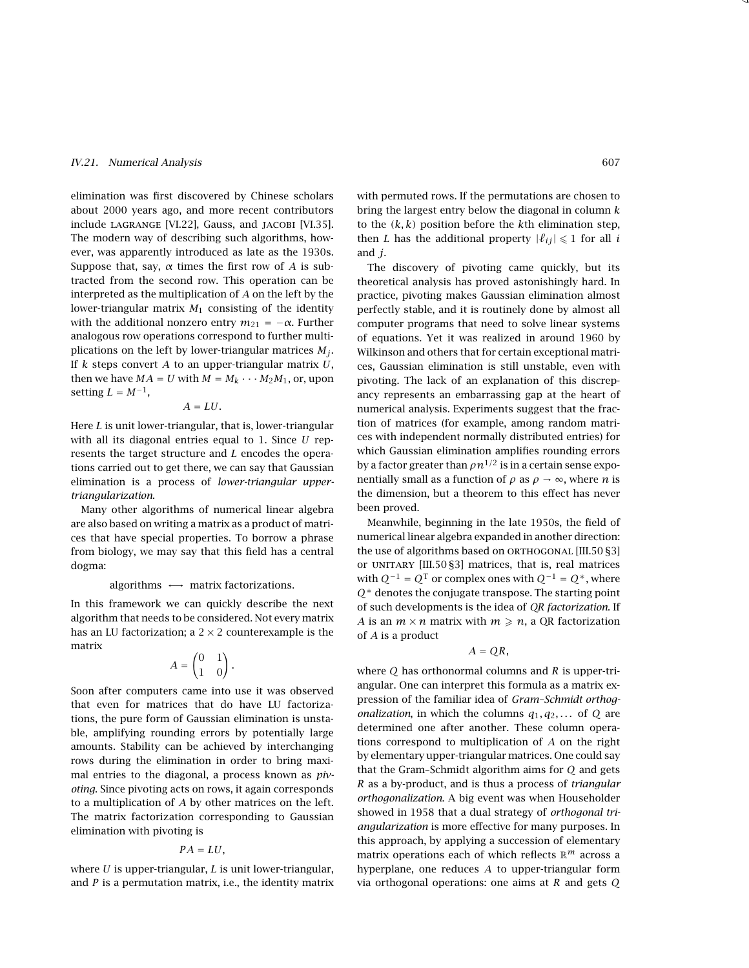elimination was first discovered by Chinese scholars about 2000 years ago, and more recent contributors include lagrange [VI.22], Gauss, and jacobi [VI.35]. The modern way of describing such algorithms, however, was apparently introduced as late as the 1930s. Suppose that, say, *α* times the first row of *A* is subtracted from the second row. This operation can be interpreted as the multiplication of *A* on the left by the lower-triangular matrix *M*<sup>1</sup> consisting of the identity with the additional nonzero entry  $m_{21} = -\alpha$ . Further analogous row operations correspond to further multiplications on the left by lower-triangular matrices  $M_i$ . If *k* steps convert *A* to an upper-triangular matrix *U*, then we have  $MA = U$  with  $M = M_k \cdots M_2 M_1$ , or, upon setting  $L = M^{-1}$ ,

$$
A = LU.
$$

Here *L* is unit lower-triangular, that is, lower-triangular with all its diagonal entries equal to 1. Since *U* represents the target structure and *L* encodes the operations carried out to get there, we can say that Gaussian elimination is a process of *lower-triangular uppertriangularization*.

Many other algorithms of numerical linear algebra are also based on writing a matrix as a product of matrices that have special properties. To borrow a phrase from biology, we may say that this field has a central dogma:

algorithms ←→ matrix factorizations*.*

In this framework we can quickly describe the next algorithm that needs to be considered. Not every matrix has an LU factorization; a  $2 \times 2$  counterexample is the matrix

$$
A = \begin{pmatrix} 0 & 1 \\ 1 & 0 \end{pmatrix}.
$$

Soon after computers came into use it was observed that even for matrices that do have LU factorizations, the pure form of Gaussian elimination is unstable, amplifying rounding errors by potentially large amounts. Stability can be achieved by interchanging rows during the elimination in order to bring maximal entries to the diagonal, a process known as *pivoting*. Since pivoting acts on rows, it again corresponds to a multiplication of *A* by other matrices on the left. The matrix factorization corresponding to Gaussian elimination with pivoting is

$$
PA = LU,
$$

where *U* is upper-triangular, *L* is unit lower-triangular, and *P* is a permutation matrix, i.e., the identity matrix with permuted rows. If the permutations are chosen to bring the largest entry below the diagonal in column *k* to the *(k, k)* position before the *k*th elimination step, then *L* has the additional property  $|\ell_{ij}| \leq 1$  for all *i* and *j*.

The discovery of pivoting came quickly, but its theoretical analysis has proved astonishingly hard. In practice, pivoting makes Gaussian elimination almost perfectly stable, and it is routinely done by almost all computer programs that need to solve linear systems of equations. Yet it was realized in around 1960 by Wilkinson and others that for certain exceptional matrices, Gaussian elimination is still unstable, even with pivoting. The lack of an explanation of this discrepancy represents an embarrassing gap at the heart of numerical analysis. Experiments suggest that the fraction of matrices (for example, among random matrices with independent normally distributed entries) for which Gaussian elimination amplifies rounding errors by a factor greater than  $\rho n^{1/2}$  is in a certain sense exponentially small as a function of  $\rho$  as  $\rho \to \infty$ , where *n* is the dimension, but a theorem to this effect has never been proved.

Meanwhile, beginning in the late 1950s, the field of numerical linear algebra expanded in another direction: the use of algorithms based on ORTHOGONAL [III.50 §3] or UNITARY [III.50 §3] matrices, that is, real matrices with  $Q^{-1} = Q^{T}$  or complex ones with  $Q^{-1} = Q^*$ , where *Q*<sup>∗</sup> denotes the conjugate transpose. The starting point of such developments is the idea of *QR factorization*. If *A* is an  $m \times n$  matrix with  $m \geqslant n$ , a QR factorization of *A* is a product

$$
A=QR,
$$

where *Q* has orthonormal columns and *R* is upper-triangular. One can interpret this formula as a matrix expression of the familiar idea of *Gram–Schmidt orthogonalization*, in which the columns *q*1*, q*2*,...* of *Q* are determined one after another. These column operations correspond to multiplication of *A* on the right by elementary upper-triangular matrices. One could say that the Gram–Schmidt algorithm aims for *Q* and gets *R* as a by-product, and is thus a process of *triangular orthogonalization*. A big event was when Householder showed in 1958 that a dual strategy of *orthogonal triangularization* is more effective for many purposes. In this approach, by applying a succession of elementary matrix operations each of which reflects R*<sup>m</sup>* across a hyperplane, one reduces *A* to upper-triangular form via orthogonal operations: one aims at *R* and gets *Q*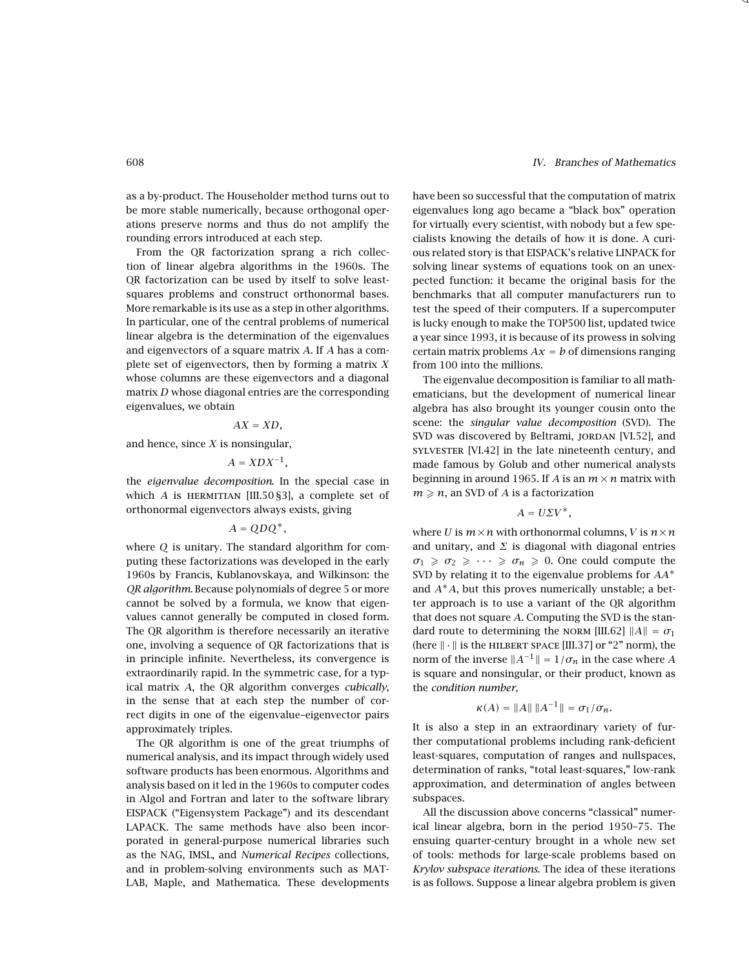#### 608 *IV. Branches of Mathematics*

L,

as a by-product. The Householder method turns out to be more stable numerically, because orthogonal operations preserve norms and thus do not amplify the rounding errors introduced at each step.

From the QR factorization sprang a rich collection of linear algebra algorithms in the 1960s. The QR factorization can be used by itself to solve leastsquares problems and construct orthonormal bases. More remarkable is its use as a step in other algorithms. In particular, one of the central problems of numerical linear algebra is the determination of the eigenvalues and eigenvectors of a square matrix *A*. If *A* has a complete set of eigenvectors, then by forming a matrix *X* whose columns are these eigenvectors and a diagonal matrix *D* whose diagonal entries are the corresponding eigenvalues, we obtain

$$
AX=XD,
$$

and hence, since *X* is nonsingular,

$$
A = XDX^{-1},
$$

the *eigenvalue decomposition*. In the special case in which *A* is HERMITIAN [III.50 §3], a complete set of orthonormal eigenvectors always exists, giving

$$
A = QDQ^*,
$$

where *Q* is unitary. The standard algorithm for computing these factorizations was developed in the early 1960s by Francis, Kublanovskaya, and Wilkinson: the *QR algorithm*. Because polynomials of degree 5 or more cannot be solved by a formula, we know that eigenvalues cannot generally be computed in closed form. The QR algorithm is therefore necessarily an iterative one, involving a sequence of QR factorizations that is in principle infinite. Nevertheless, its convergence is extraordinarily rapid. In the symmetric case, for a typical matrix *A*, the QR algorithm converges *cubically*, in the sense that at each step the number of correct digits in one of the eigenvalue–eigenvector pairs approximately triples.

The QR algorithm is one of the great triumphs of numerical analysis, and its impact through widely used software products has been enormous. Algorithms and analysis based on it led in the 1960s to computer codes in Algol and Fortran and later to the software library EISPACK ("Eigensystem Package") and its descendant LAPACK. The same methods have also been incorporated in general-purpose numerical libraries such as the NAG, IMSL, and *Numerical Recipes* collections, and in problem-solving environments such as MAT-LAB, Maple, and Mathematica. These developments have been so successful that the computation of matrix eigenvalues long ago became a "black box" operation for virtually every scientist, with nobody but a few specialists knowing the details of how it is done. A curious related story is that EISPACK's relative LINPACK for solving linear systems of equations took on an unexpected function: it became the original basis for the benchmarks that all computer manufacturers run to test the speed of their computers. If a supercomputer is lucky enough to make the TOP500 list, updated twice a year since 1993, it is because of its prowess in solving certain matrix problems  $Ax = b$  of dimensions ranging from 100 into the millions.

The eigenvalue decomposition is familiar to all mathematicians, but the development of numerical linear algebra has also brought its younger cousin onto the scene: the *singular value decomposition* (SVD). The SVD was discovered by Beltrami, JORDAN [VI.52], and sylvester [VI.42] in the late nineteenth century, and made famous by Golub and other numerical analysts beginning in around 1965. If *A* is an  $m \times n$  matrix with  $m \geqslant n$ , an SVD of *A* is a factorization

$$
A=U\Sigma V^*,
$$

where *U* is  $m \times n$  with orthonormal columns, *V* is  $n \times n$ and unitary, and  $\Sigma$  is diagonal with diagonal entries  $\sigma_1 \geqslant \sigma_2 \geqslant \cdots \geqslant \sigma_n \geqslant 0$ . One could compute the SVD by relating it to the eigenvalue problems for *AA*<sup>∗</sup> and *A*∗*A*, but this proves numerically unstable; a better approach is to use a variant of the QR algorithm that does not square *A*. Computing the SVD is the standard route to determining the NORM [III.62]  $||A|| = \sigma_1$ (here  $\|\cdot\|$  is the HILBERT SPACE [III.37] or "2" norm), the norm of the inverse  $||A^{-1}|| = 1/\sigma_n$  in the case where *A* is square and nonsingular, or their product, known as the *condition number*,

$$
\kappa(A) = ||A|| ||A^{-1}|| = \sigma_1/\sigma_n.
$$

It is also a step in an extraordinary variety of further computational problems including rank-deficient least-squares, computation of ranges and nullspaces, determination of ranks, "total least-squares," low-rank approximation, and determination of angles between subspaces.

All the discussion above concerns "classical" numerical linear algebra, born in the period 1950–75. The ensuing quarter-century brought in a whole new set of tools: methods for large-scale problems based on *Krylov subspace iterations*. The idea of these iterations is as follows. Suppose a linear algebra problem is given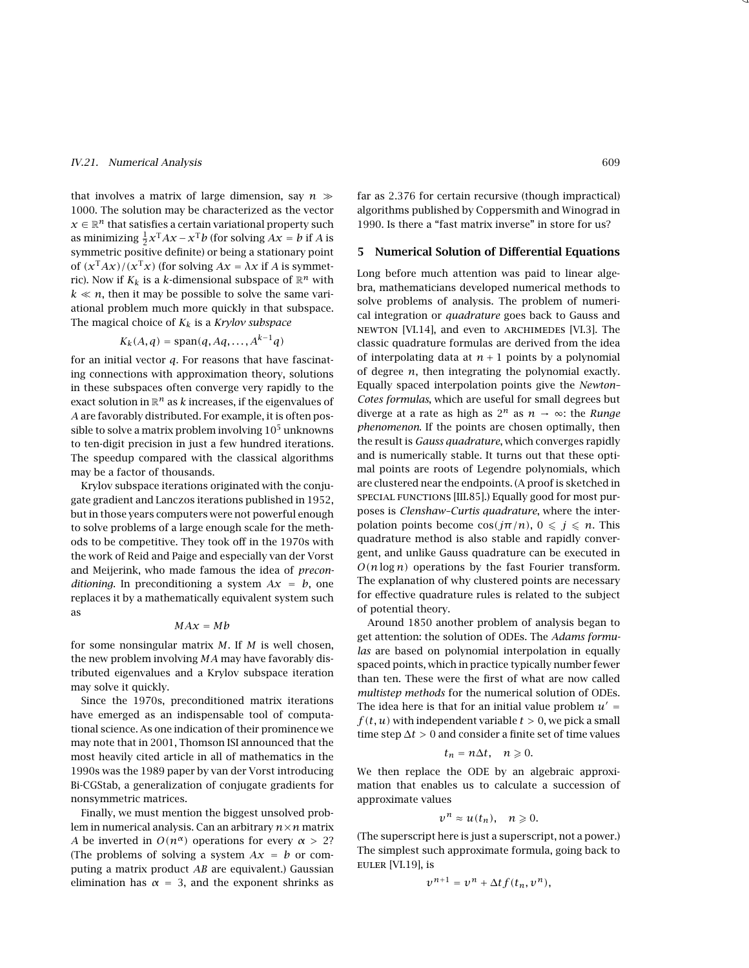that involves a matrix of large dimension, say  $n \gg$ 1000. The solution may be characterized as the vector  $x \in \mathbb{R}^n$  that satisfies a certain variational property such as minimizing  $\frac{1}{2}x^{T}Ax - x^{T}b$  (for solving  $Ax = b$  if *A* is symmetric positive definite) or being a stationary point of  $(x^{T}Ax)/(x^{T}x)$  (for solving  $Ax = \lambda x$  if *A* is symmetric). Now if  $K_k$  is a *k*-dimensional subspace of  $\mathbb{R}^n$  with  $k \ll n$ , then it may be possible to solve the same variational problem much more quickly in that subspace. The magical choice of  $K_k$  is a *Krylov subspace* 

$$
K_k(A, q) = \text{span}(q, Aq, \dots, A^{k-1}q)
$$

for an initial vector *q*. For reasons that have fascinating connections with approximation theory, solutions in these subspaces often converge very rapidly to the exact solution in  $\mathbb{R}^n$  as *k* increases, if the eigenvalues of *A* are favorably distributed. For example, it is often possible to solve a matrix problem involving  $10^5$  unknowns to ten-digit precision in just a few hundred iterations. The speedup compared with the classical algorithms may be a factor of thousands.

Krylov subspace iterations originated with the conjugate gradient and Lanczos iterations published in 1952, but in those years computers were not powerful enough to solve problems of a large enough scale for the methods to be competitive. They took off in the 1970s with the work of Reid and Paige and especially van der Vorst and Meijerink, who made famous the idea of *preconditioning*. In preconditioning a system  $Ax = b$ , one replaces it by a mathematically equivalent system such as

$$
MAX = Mb
$$

for some nonsingular matrix *M*. If *M* is well chosen, the new problem involving *MA* may have favorably distributed eigenvalues and a Krylov subspace iteration may solve it quickly.

Since the 1970s, preconditioned matrix iterations have emerged as an indispensable tool of computational science. As one indication of their prominence we may note that in 2001, Thomson ISI announced that the most heavily cited article in all of mathematics in the 1990s was the 1989 paper by van der Vorst introducing Bi-CGStab, a generalization of conjugate gradients for nonsymmetric matrices.

Finally, we must mention the biggest unsolved problem in numerical analysis. Can an arbitrary *n*×*n* matrix *A* be inverted in  $O(n^{\alpha})$  operations for every  $\alpha > 2$ ? (The problems of solving a system  $Ax = b$  or computing a matrix product *AB* are equivalent.) Gaussian elimination has  $\alpha = 3$ , and the exponent shrinks as far as 2*.*376 for certain recursive (though impractical) algorithms published by Coppersmith and Winograd in 1990. Is there a "fast matrix inverse" in store for us?

#### **5 Numerical Solution of Differential Equations**

Long before much attention was paid to linear algebra, mathematicians developed numerical methods to solve problems of analysis. The problem of numerical integration or *quadrature* goes back to Gauss and newton [VI.14], and even to archimedes [VI.3]. The classic quadrature formulas are derived from the idea of interpolating data at  $n + 1$  points by a polynomial of degree *n*, then integrating the polynomial exactly. Equally spaced interpolation points give the *Newton– Cotes formulas*, which are useful for small degrees but diverge at a rate as high as  $2^n$  as  $n \rightarrow \infty$ : the *Runge phenomenon*. If the points are chosen optimally, then the result is *Gauss quadrature*, which converges rapidly and is numerically stable. It turns out that these optimal points are roots of Legendre polynomials, which are clustered near the endpoints. (A proof is sketched in special functions [III.85].) Equally good for most purposes is *Clenshaw–Curtis quadrature*, where the interpolation points become  $\cos(j\pi/n)$ ,  $0 \leq j \leq n$ . This quadrature method is also stable and rapidly convergent, and unlike Gauss quadrature can be executed in *O(n* log *n)* operations by the fast Fourier transform. The explanation of why clustered points are necessary for effective quadrature rules is related to the subject of potential theory.

Around 1850 another problem of analysis began to get attention: the solution of ODEs. The *Adams formulas* are based on polynomial interpolation in equally spaced points, which in practice typically number fewer than ten. These were the first of what are now called *multistep methods* for the numerical solution of ODEs. The idea here is that for an initial value problem  $u' =$  $f(t, u)$  with independent variable  $t > 0$ , we pick a small time step  $\Delta t > 0$  and consider a finite set of time values

$$
t_n=n\Delta t,\quad n\geqslant 0.
$$

We then replace the ODE by an algebraic approximation that enables us to calculate a succession of approximate values

$$
v^n \approx u(t_n), \quad n \geqslant 0.
$$

(The superscript here is just a superscript, not a power.) The simplest such approximate formula, going back to euler [VI.19], is

$$
v^{n+1} = v^n + \Delta t f(t_n, v^n),
$$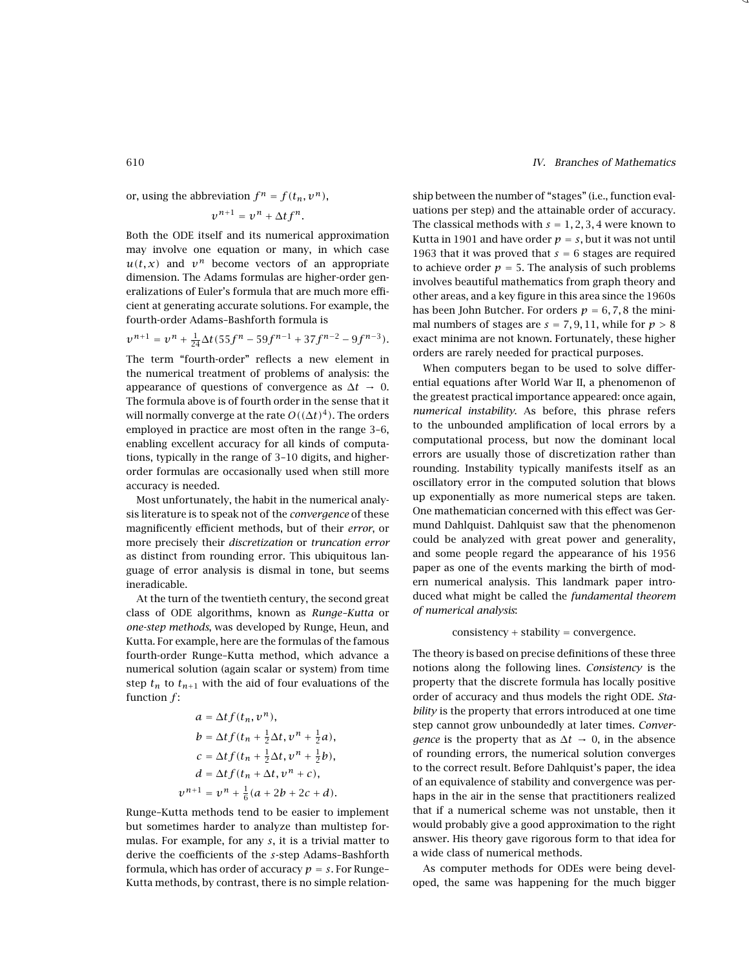#### 610 *IV. Branches of Mathematics*

L,

or, using the abbreviation  $f^n = f(t_n, v^n)$ ,

$$
v^{n+1} = v^n + \Delta t f^n.
$$

Both the ODE itself and its numerical approximation may involve one equation or many, in which case  $u(t, x)$  and  $v^n$  become vectors of an appropriate dimension. The Adams formulas are higher-order generalizations of Euler's formula that are much more efficient at generating accurate solutions. For example, the fourth-order Adams–Bashforth formula is

$$
v^{n+1} = v^n + \frac{1}{24} \Delta t (55f^n - 59f^{n-1} + 37f^{n-2} - 9f^{n-3}).
$$

The term "fourth-order" reflects a new element in the numerical treatment of problems of analysis: the appearance of questions of convergence as ∆*t* → 0. The formula above is of fourth order in the sense that it will normally converge at the rate  $O((\Delta t)^4)$ . The orders employed in practice are most often in the range 3–6, enabling excellent accuracy for all kinds of computations, typically in the range of 3–10 digits, and higherorder formulas are occasionally used when still more accuracy is needed.

Most unfortunately, the habit in the numerical analysis literature is to speak not of the *convergence* of these magnificently efficient methods, but of their *error*, or more precisely their *discretization* or *truncation error* as distinct from rounding error. This ubiquitous language of error analysis is dismal in tone, but seems ineradicable.

At the turn of the twentieth century, the second great class of ODE algorithms, known as *Runge–Kutta* or *one-step methods*, was developed by Runge, Heun, and Kutta. For example, here are the formulas of the famous fourth-order Runge–Kutta method, which advance a numerical solution (again scalar or system) from time step  $t_n$  to  $t_{n+1}$  with the aid of four evaluations of the function *f* :

$$
a = \Delta t f(t_n, v^n),
$$
  
\n
$$
b = \Delta t f(t_n + \frac{1}{2}\Delta t, v^n + \frac{1}{2}a),
$$
  
\n
$$
c = \Delta t f(t_n + \frac{1}{2}\Delta t, v^n + \frac{1}{2}b),
$$
  
\n
$$
d = \Delta t f(t_n + \Delta t, v^n + c),
$$
  
\n
$$
v^{n+1} = v^n + \frac{1}{6}(a + 2b + 2c + d).
$$

Runge–Kutta methods tend to be easier to implement but sometimes harder to analyze than multistep formulas. For example, for any *s*, it is a trivial matter to derive the coefficients of the *s*-step Adams–Bashforth formula, which has order of accuracy  $p = s$ . For Runge– Kutta methods, by contrast, there is no simple relationship between the number of "stages" (i.e., function evaluations per step) and the attainable order of accuracy. The classical methods with  $s = 1, 2, 3, 4$  were known to Kutta in 1901 and have order  $p = s$ , but it was not until 1963 that it was proved that  $s = 6$  stages are required to achieve order  $p = 5$ . The analysis of such problems involves beautiful mathematics from graph theory and other areas, and a key figure in this area since the 1960s has been John Butcher. For orders  $p = 6, 7, 8$  the minimal numbers of stages are  $s = 7, 9, 11$ , while for  $p > 8$ exact minima are not known. Fortunately, these higher orders are rarely needed for practical purposes.

When computers began to be used to solve differential equations after World War II, a phenomenon of the greatest practical importance appeared: once again, *numerical instability*. As before, this phrase refers to the unbounded amplification of local errors by a computational process, but now the dominant local errors are usually those of discretization rather than rounding. Instability typically manifests itself as an oscillatory error in the computed solution that blows up exponentially as more numerical steps are taken. One mathematician concerned with this effect was Germund Dahlquist. Dahlquist saw that the phenomenon could be analyzed with great power and generality, and some people regard the appearance of his 1956 paper as one of the events marking the birth of modern numerical analysis. This landmark paper introduced what might be called the *fundamental theorem of numerical analysis*:

consistency + stability = convergence*.*

The theory is based on precise definitions of these three notions along the following lines. *Consistency* is the property that the discrete formula has locally positive order of accuracy and thus models the right ODE. *Stability* is the property that errors introduced at one time step cannot grow unboundedly at later times. *Convergence* is the property that as  $\Delta t \rightarrow 0$ , in the absence of rounding errors, the numerical solution converges to the correct result. Before Dahlquist's paper, the idea of an equivalence of stability and convergence was perhaps in the air in the sense that practitioners realized that if a numerical scheme was not unstable, then it would probably give a good approximation to the right answer. His theory gave rigorous form to that idea for a wide class of numerical methods.

As computer methods for ODEs were being developed, the same was happening for the much bigger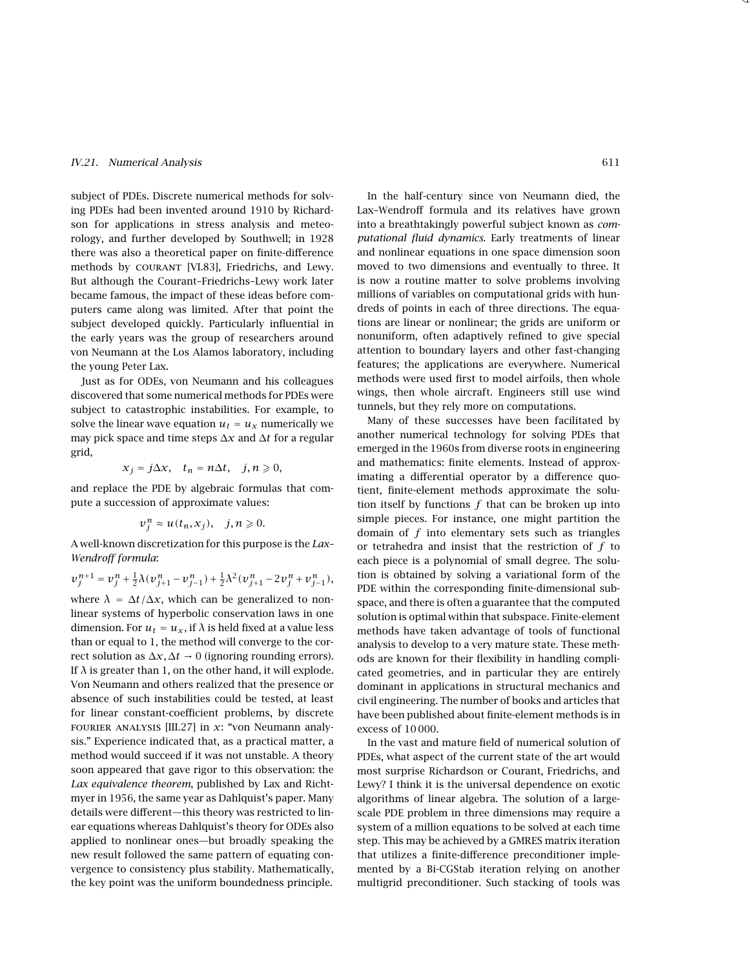subject of PDEs. Discrete numerical methods for solving PDEs had been invented around 1910 by Richardson for applications in stress analysis and meteorology, and further developed by Southwell; in 1928 there was also a theoretical paper on finite-difference methods by courant [VI.83], Friedrichs, and Lewy. But although the Courant–Friedrichs–Lewy work later became famous, the impact of these ideas before computers came along was limited. After that point the subject developed quickly. Particularly influential in the early years was the group of researchers around von Neumann at the Los Alamos laboratory, including the young Peter Lax.

Just as for ODEs, von Neumann and his colleagues discovered that some numerical methods for PDEs were subject to catastrophic instabilities. For example, to solve the linear wave equation  $u_t = u_x$  numerically we may pick space and time steps ∆*x* and ∆*t* for a regular grid,

$$
x_j = j\Delta x, \quad t_n = n\Delta t, \quad j, n \geq 0,
$$

and replace the PDE by algebraic formulas that compute a succession of approximate values:

$$
v_j^n \approx u(t_n,x_j), \quad j,n \geqslant 0.
$$

A well-known discretization for this purpose is the *Lax– Wendroff formula*:

$$
\upsilon^{n+1}_j = \upsilon^n_j + \tfrac{1}{2} \lambda (\upsilon^n_{j+1} - \upsilon^n_{j-1}) + \tfrac{1}{2} \lambda^2 (\upsilon^n_{j+1} - 2 \upsilon^n_j + \upsilon^n_{j-1}),
$$

where  $\lambda = \Delta t / \Delta x$ , which can be generalized to nonlinear systems of hyperbolic conservation laws in one dimension. For  $u_t = u_x$ , if  $\lambda$  is held fixed at a value less than or equal to 1, the method will converge to the correct solution as  $\Delta x$ ,  $\Delta t \rightarrow 0$  (ignoring rounding errors). If  $\lambda$  is greater than 1, on the other hand, it will explode. Von Neumann and others realized that the presence or absence of such instabilities could be tested, at least for linear constant-coefficient problems, by discrete fourier analysis [III.27] in *x*: "von Neumann analysis." Experience indicated that, as a practical matter, a method would succeed if it was not unstable. A theory soon appeared that gave rigor to this observation: the *Lax equivalence theorem*, published by Lax and Richtmyer in 1956, the same year as Dahlquist's paper. Many details were different—this theory was restricted to linear equations whereas Dahlquist's theory for ODEs also applied to nonlinear ones—but broadly speaking the new result followed the same pattern of equating convergence to consistency plus stability. Mathematically, the key point was the uniform boundedness principle.

In the half-century since von Neumann died, the Lax–Wendroff formula and its relatives have grown into a breathtakingly powerful subject known as *computational fluid dynamics*. Early treatments of linear and nonlinear equations in one space dimension soon moved to two dimensions and eventually to three. It is now a routine matter to solve problems involving millions of variables on computational grids with hundreds of points in each of three directions. The equations are linear or nonlinear; the grids are uniform or nonuniform, often adaptively refined to give special attention to boundary layers and other fast-changing features; the applications are everywhere. Numerical methods were used first to model airfoils, then whole wings, then whole aircraft. Engineers still use wind tunnels, but they rely more on computations.

Many of these successes have been facilitated by another numerical technology for solving PDEs that emerged in the 1960s from diverse roots in engineering and mathematics: finite elements. Instead of approximating a differential operator by a difference quotient, finite-element methods approximate the solution itself by functions  $f$  that can be broken up into simple pieces. For instance, one might partition the domain of *f* into elementary sets such as triangles or tetrahedra and insist that the restriction of *f* to each piece is a polynomial of small degree. The solution is obtained by solving a variational form of the PDE within the corresponding finite-dimensional subspace, and there is often a guarantee that the computed solution is optimal within that subspace. Finite-element methods have taken advantage of tools of functional analysis to develop to a very mature state. These methods are known for their flexibility in handling complicated geometries, and in particular they are entirely dominant in applications in structural mechanics and civil engineering. The number of books and articles that have been published about finite-element methods is in excess of 10 000.

In the vast and mature field of numerical solution of PDEs, what aspect of the current state of the art would most surprise Richardson or Courant, Friedrichs, and Lewy? I think it is the universal dependence on exotic algorithms of linear algebra. The solution of a largescale PDE problem in three dimensions may require a system of a million equations to be solved at each time step. This may be achieved by a GMRES matrix iteration that utilizes a finite-difference preconditioner implemented by a Bi-CGStab iteration relying on another multigrid preconditioner. Such stacking of tools was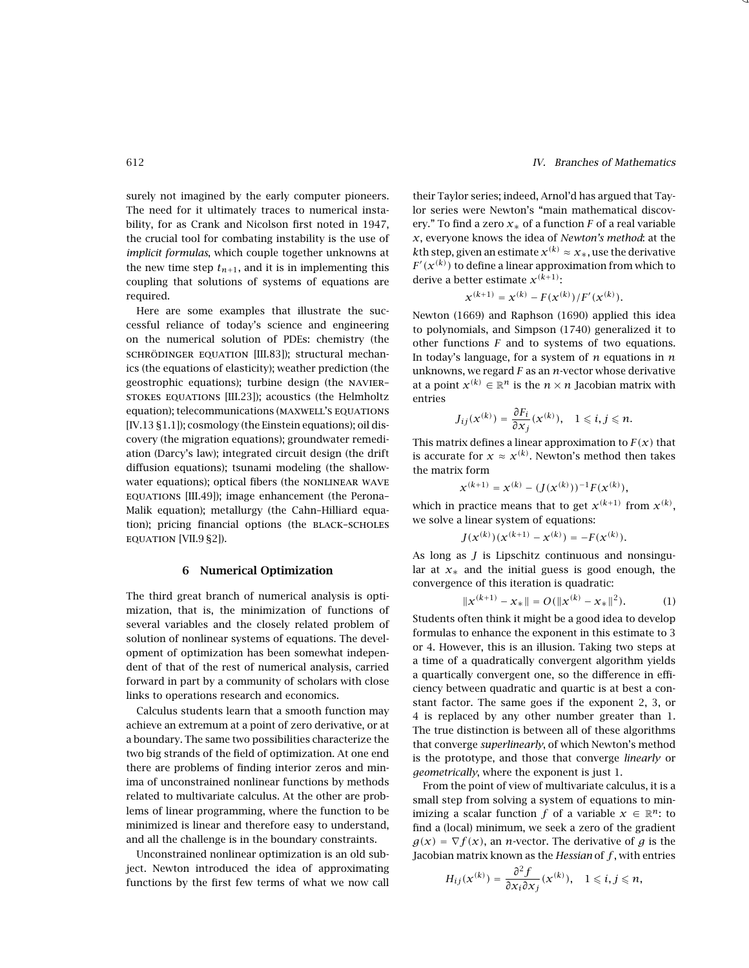L,

surely not imagined by the early computer pioneers. The need for it ultimately traces to numerical instability, for as Crank and Nicolson first noted in 1947, the crucial tool for combating instability is the use of *implicit formulas*, which couple together unknowns at the new time step  $t_{n+1}$ , and it is in implementing this coupling that solutions of systems of equations are required.

Here are some examples that illustrate the successful reliance of today's science and engineering on the numerical solution of PDEs: chemistry (the schrödinger equation [III.83]); structural mechanics (the equations of elasticity); weather prediction (the geostrophic equations); turbine design (the navier– stokes equations [III.23]); acoustics (the Helmholtz equation); telecommunications (MAXWELL'S EQUATIONS [IV.13 §1.1]); cosmology (the Einstein equations); oil discovery (the migration equations); groundwater remediation (Darcy's law); integrated circuit design (the drift diffusion equations); tsunami modeling (the shallowwater equations); optical fibers (the NONLINEAR WAVE equations [III.49]); image enhancement (the Perona– Malik equation); metallurgy (the Cahn–Hilliard equation); pricing financial options (the BLACK-SCHOLES equation [VII.9 §2]).

#### **6 Numerical Optimization**

The third great branch of numerical analysis is optimization, that is, the minimization of functions of several variables and the closely related problem of solution of nonlinear systems of equations. The development of optimization has been somewhat independent of that of the rest of numerical analysis, carried forward in part by a community of scholars with close links to operations research and economics.

Calculus students learn that a smooth function may achieve an extremum at a point of zero derivative, or at a boundary. The same two possibilities characterize the two big strands of the field of optimization. At one end there are problems of finding interior zeros and minima of unconstrained nonlinear functions by methods related to multivariate calculus. At the other are problems of linear programming, where the function to be minimized is linear and therefore easy to understand, and all the challenge is in the boundary constraints.

Unconstrained nonlinear optimization is an old subject. Newton introduced the idea of approximating functions by the first few terms of what we now call their Taylor series; indeed, Arnol'd has argued that Taylor series were Newton's "main mathematical discovery." To find a zero *x*∗ of a function *F* of a real variable *x*, everyone knows the idea of *Newton's method*: at the *k*th step, given an estimate  $x^{(k)} \approx x_*$ , use the derivative  $F'(x^{(k)})$  to define a linear approximation from which to derive a better estimate  $x^{(k+1)}$ :

$$
x^{(k+1)} = x^{(k)} - F(x^{(k)})/F'(x^{(k)}).
$$

Newton (1669) and Raphson (1690) applied this idea to polynomials, and Simpson (1740) generalized it to other functions *F* and to systems of two equations. In today's language, for a system of *n* equations in *n* unknowns, we regard *F* as an *n*-vector whose derivative at a point  $x^{(k)} \in \mathbb{R}^n$  is the  $n \times n$  Jacobian matrix with entries

$$
J_{ij}(x^{(k)}) = \frac{\partial F_i}{\partial x_j}(x^{(k)}), \quad 1 \leq i, j \leq n.
$$

This matrix defines a linear approximation to  $F(x)$  that is accurate for  $x \approx x^{(k)}$ . Newton's method then takes the matrix form

$$
x^{(k+1)} = x^{(k)} - (J(x^{(k)}))^{-1}F(x^{(k)}),
$$

which in practice means that to get  $x^{(k+1)}$  from  $x^{(k)}$ , we solve a linear system of equations:

$$
J(x^{(k)})(x^{(k+1)} - x^{(k)}) = -F(x^{(k)}).
$$

As long as *J* is Lipschitz continuous and nonsingular at  $x<sub>*</sub>$  and the initial guess is good enough, the convergence of this iteration is quadratic:

$$
\|\mathbf{x}^{(k+1)} - \mathbf{x}_*\| = O(\|\mathbf{x}^{(k)} - \mathbf{x}_*\|^2). \tag{1}
$$

Students often think it might be a good idea to develop formulas to enhance the exponent in this estimate to 3 or 4. However, this is an illusion. Taking two steps at a time of a quadratically convergent algorithm yields a quartically convergent one, so the difference in efficiency between quadratic and quartic is at best a constant factor. The same goes if the exponent 2, 3, or 4 is replaced by any other number greater than 1. The true distinction is between all of these algorithms that converge *superlinearly*, of which Newton's method is the prototype, and those that converge *linearly* or *geometrically*, where the exponent is just 1.

From the point of view of multivariate calculus, it is a small step from solving a system of equations to minimizing a scalar function *f* of a variable  $x \in \mathbb{R}^n$ : to find a (local) minimum, we seek a zero of the gradient  $g(x) = \nabla f(x)$ , an *n*-vector. The derivative of *g* is the Jacobian matrix known as the *Hessian* of *f* , with entries

$$
H_{ij}(x^{(k)}) = \frac{\partial^2 f}{\partial x_i \partial x_j}(x^{(k)}), \quad 1 \leq i, j \leq n,
$$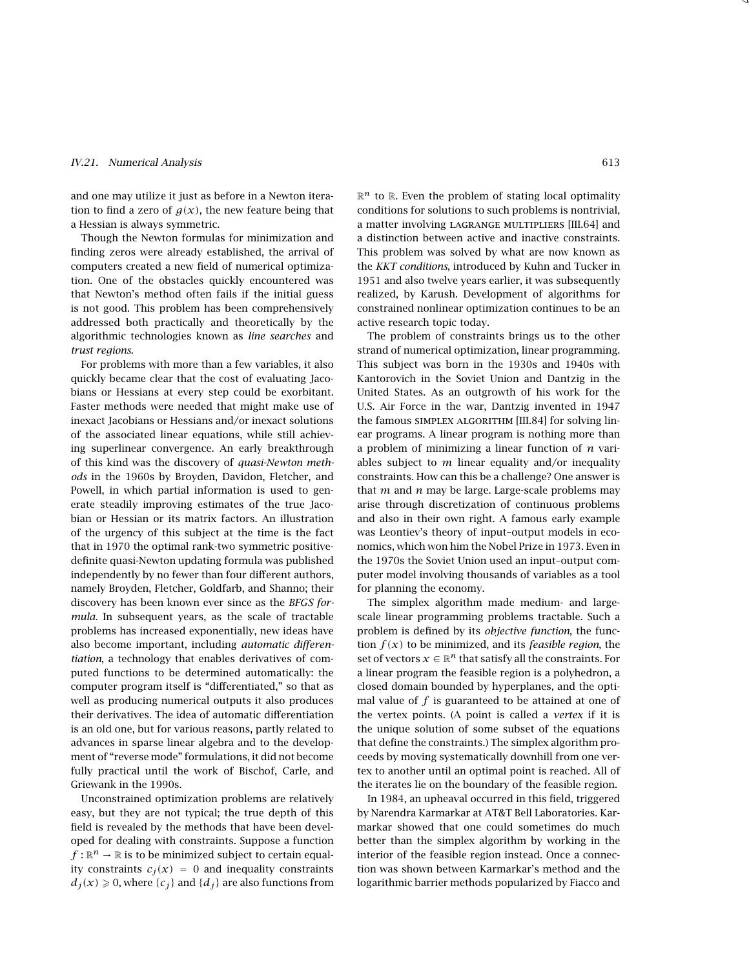and one may utilize it just as before in a Newton iteration to find a zero of  $g(x)$ , the new feature being that a Hessian is always symmetric.

Though the Newton formulas for minimization and finding zeros were already established, the arrival of computers created a new field of numerical optimization. One of the obstacles quickly encountered was that Newton's method often fails if the initial guess is not good. This problem has been comprehensively addressed both practically and theoretically by the algorithmic technologies known as *line searches* and *trust regions*.

For problems with more than a few variables, it also quickly became clear that the cost of evaluating Jacobians or Hessians at every step could be exorbitant. Faster methods were needed that might make use of inexact Jacobians or Hessians and/or inexact solutions of the associated linear equations, while still achieving superlinear convergence. An early breakthrough of this kind was the discovery of *quasi-Newton methods* in the 1960s by Broyden, Davidon, Fletcher, and Powell, in which partial information is used to generate steadily improving estimates of the true Jacobian or Hessian or its matrix factors. An illustration of the urgency of this subject at the time is the fact that in 1970 the optimal rank-two symmetric positivedefinite quasi-Newton updating formula was published independently by no fewer than four different authors, namely Broyden, Fletcher, Goldfarb, and Shanno; their discovery has been known ever since as the *BFGS formula*. In subsequent years, as the scale of tractable problems has increased exponentially, new ideas have also become important, including *automatic differentiation*, a technology that enables derivatives of computed functions to be determined automatically: the computer program itself is "differentiated," so that as well as producing numerical outputs it also produces their derivatives. The idea of automatic differentiation is an old one, but for various reasons, partly related to advances in sparse linear algebra and to the development of "reverse mode" formulations, it did not become fully practical until the work of Bischof, Carle, and Griewank in the 1990s.

Unconstrained optimization problems are relatively easy, but they are not typical; the true depth of this field is revealed by the methods that have been developed for dealing with constraints. Suppose a function  $f: \mathbb{R}^n \to \mathbb{R}$  is to be minimized subject to certain equality constraints  $c_i(x) = 0$  and inequality constraints  $d_j(x) \geqslant 0$ , where  $\{c_j\}$  and  $\{d_j\}$  are also functions from

 $\mathbb{R}^n$  to  $\mathbb{R}$ . Even the problem of stating local optimality conditions for solutions to such problems is nontrivial, a matter involving lagrange multipliers [III.64] and a distinction between active and inactive constraints. This problem was solved by what are now known as the *KKT conditions*, introduced by Kuhn and Tucker in 1951 and also twelve years earlier, it was subsequently realized, by Karush. Development of algorithms for constrained nonlinear optimization continues to be an active research topic today.

The problem of constraints brings us to the other strand of numerical optimization, linear programming. This subject was born in the 1930s and 1940s with Kantorovich in the Soviet Union and Dantzig in the United States. As an outgrowth of his work for the U.S. Air Force in the war, Dantzig invented in 1947 the famous SIMPLEX ALGORITHM [III.84] for solving linear programs. A linear program is nothing more than a problem of minimizing a linear function of *n* variables subject to *m* linear equality and/or inequality constraints. How can this be a challenge? One answer is that *m* and *n* may be large. Large-scale problems may arise through discretization of continuous problems and also in their own right. A famous early example was Leontiev's theory of input–output models in economics, which won him the Nobel Prize in 1973. Even in the 1970s the Soviet Union used an input–output computer model involving thousands of variables as a tool for planning the economy.

The simplex algorithm made medium- and largescale linear programming problems tractable. Such a problem is defined by its *objective function*, the function  $f(x)$  to be minimized, and its *feasible region*, the set of vectors  $x \in \mathbb{R}^n$  that satisfy all the constraints. For a linear program the feasible region is a polyhedron, a closed domain bounded by hyperplanes, and the optimal value of *f* is guaranteed to be attained at one of the vertex points. (A point is called a *vertex* if it is the unique solution of some subset of the equations that define the constraints.) The simplex algorithm proceeds by moving systematically downhill from one vertex to another until an optimal point is reached. All of the iterates lie on the boundary of the feasible region.

In 1984, an upheaval occurred in this field, triggered by Narendra Karmarkar at AT&T Bell Laboratories. Karmarkar showed that one could sometimes do much better than the simplex algorithm by working in the interior of the feasible region instead. Once a connection was shown between Karmarkar's method and the logarithmic barrier methods popularized by Fiacco and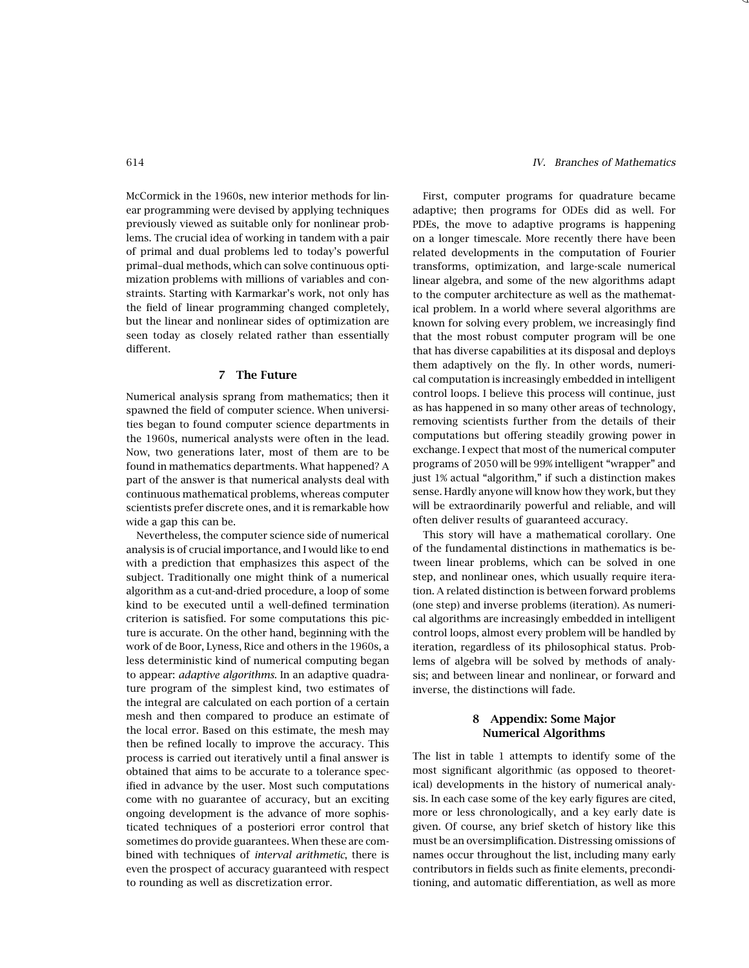McCormick in the 1960s, new interior methods for linear programming were devised by applying techniques previously viewed as suitable only for nonlinear problems. The crucial idea of working in tandem with a pair of primal and dual problems led to today's powerful primal–dual methods, which can solve continuous optimization problems with millions of variables and constraints. Starting with Karmarkar's work, not only has the field of linear programming changed completely, but the linear and nonlinear sides of optimization are seen today as closely related rather than essentially different.

## **7 The Future**

Numerical analysis sprang from mathematics; then it spawned the field of computer science. When universities began to found computer science departments in the 1960s, numerical analysts were often in the lead. Now, two generations later, most of them are to be found in mathematics departments. What happened? A part of the answer is that numerical analysts deal with continuous mathematical problems, whereas computer scientists prefer discrete ones, and it is remarkable how wide a gap this can be.

Nevertheless, the computer science side of numerical analysis is of crucial importance, and I would like to end with a prediction that emphasizes this aspect of the subject. Traditionally one might think of a numerical algorithm as a cut-and-dried procedure, a loop of some kind to be executed until a well-defined termination criterion is satisfied. For some computations this picture is accurate. On the other hand, beginning with the work of de Boor, Lyness, Rice and others in the 1960s, a less deterministic kind of numerical computing began to appear: *adaptive algorithms*. In an adaptive quadrature program of the simplest kind, two estimates of the integral are calculated on each portion of a certain mesh and then compared to produce an estimate of the local error. Based on this estimate, the mesh may then be refined locally to improve the accuracy. This process is carried out iteratively until a final answer is obtained that aims to be accurate to a tolerance specified in advance by the user. Most such computations come with no guarantee of accuracy, but an exciting ongoing development is the advance of more sophisticated techniques of a posteriori error control that sometimes do provide guarantees. When these are combined with techniques of *interval arithmetic*, there is even the prospect of accuracy guaranteed with respect to rounding as well as discretization error.

L,

First, computer programs for quadrature became adaptive; then programs for ODEs did as well. For PDEs, the move to adaptive programs is happening on a longer timescale. More recently there have been related developments in the computation of Fourier transforms, optimization, and large-scale numerical linear algebra, and some of the new algorithms adapt to the computer architecture as well as the mathematical problem. In a world where several algorithms are known for solving every problem, we increasingly find that the most robust computer program will be one that has diverse capabilities at its disposal and deploys them adaptively on the fly. In other words, numerical computation is increasingly embedded in intelligent control loops. I believe this process will continue, just as has happened in so many other areas of technology, removing scientists further from the details of their computations but offering steadily growing power in exchange. I expect that most of the numerical computer programs of 2050 will be 99% intelligent "wrapper" and just 1% actual "algorithm," if such a distinction makes sense. Hardly anyone will know how they work, but they will be extraordinarily powerful and reliable, and will often deliver results of guaranteed accuracy.

This story will have a mathematical corollary. One of the fundamental distinctions in mathematics is between linear problems, which can be solved in one step, and nonlinear ones, which usually require iteration. A related distinction is between forward problems (one step) and inverse problems (iteration). As numerical algorithms are increasingly embedded in intelligent control loops, almost every problem will be handled by iteration, regardless of its philosophical status. Problems of algebra will be solved by methods of analysis; and between linear and nonlinear, or forward and inverse, the distinctions will fade.

## **8 Appendix: Some Major Numerical Algorithms**

The list in table 1 attempts to identify some of the most significant algorithmic (as opposed to theoretical) developments in the history of numerical analysis. In each case some of the key early figures are cited, more or less chronologically, and a key early date is given. Of course, any brief sketch of history like this must be an oversimplification. Distressing omissions of names occur throughout the list, including many early contributors in fields such as finite elements, preconditioning, and automatic differentiation, as well as more